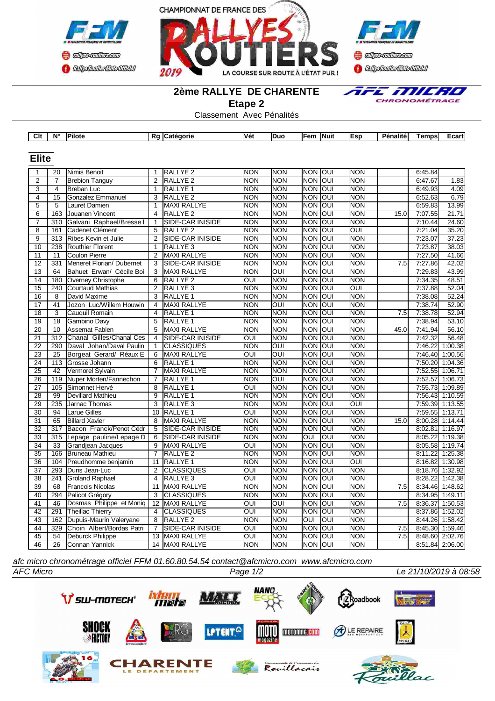





*E MICRO* 

CHRONOMÉTRAGE

## **2ème RALLYE DE CHARENTE**

**Etape 2**

Classement Avec Pénalités

| Clt             | N°               | <b>Pilote</b>             |                 | Rg Catégorie            | Vét        | Duo        | Fem   Nuit     |            | Esp                     | Pénalité | Temps           | Ecart   |
|-----------------|------------------|---------------------------|-----------------|-------------------------|------------|------------|----------------|------------|-------------------------|----------|-----------------|---------|
|                 |                  |                           |                 |                         |            |            |                |            |                         |          |                 |         |
| <b>Elite</b>    |                  |                           |                 |                         |            |            |                |            |                         |          |                 |         |
|                 |                  |                           |                 |                         |            |            |                |            |                         |          |                 |         |
| 1               | 20               | Nimis Benoit              | 1               | RALLYE <sub>2</sub>     | <b>NON</b> | <b>NON</b> | <b>NON</b>     | loui       | <b>NON</b>              |          | 6:45.84         |         |
| $\overline{2}$  | $\overline{7}$   | <b>Brebion Tanguy</b>     | $\overline{2}$  | RALLYE <sub>2</sub>     | <b>NON</b> | <b>NON</b> | <b>NON</b>     | OUI        | <b>NON</b>              |          | 6:47.67         | 1.83    |
| $\overline{3}$  | 4                | Breban Luc                | 1               | RALLYE <sub>1</sub>     | <b>NON</b> | <b>NON</b> | <b>NON OUI</b> |            | <b>NON</b>              |          | 6:49.93         | 4.09    |
| $\overline{4}$  | 15               | <b>Gonzalez Emmanuel</b>  | 3               | RALLYE <sub>2</sub>     | <b>NON</b> | <b>NON</b> | <b>NON</b>     | loui       | <b>NON</b>              |          | 6:52.63         | 6.79    |
| $\overline{5}$  | $\overline{5}$   | Lauret Damien             | 1               | <b>MAXI RALLYE</b>      | <b>NON</b> | <b>NON</b> | <b>NON</b>     | JON        | <b>NON</b>              |          | 6:59.83         | 13.99   |
| 6               | 163              | Jouanen Vincent           | 4               | <b>RALLYE 2</b>         | <b>NON</b> | <b>NON</b> | <b>NON</b>     | OUI        | <b>NON</b>              | 15.0     | 7:07.55         | 21.71   |
| $\overline{7}$  | 310              | Galvani Raphael/Bresse I  | $\mathbf{1}$    | <b>SIDE-CAR INISIDE</b> | <b>NON</b> | <b>NON</b> | <b>NON</b>     | <b>OUI</b> | <b>NON</b>              |          | 7:10.44         | 24.60   |
| $\overline{8}$  | 161              | Cadenet Clément           | $\overline{5}$  | <b>RALLYE 2</b>         | <b>NON</b> | <b>NON</b> | <b>NON</b>     | <b>OUI</b> | $\overline{\text{out}}$ |          | 7:21.04         | 35.20   |
| $\overline{9}$  | $\overline{313}$ | Ribes Kevin et Julie      | $\overline{2}$  | <b>SIDE-CAR INISIDE</b> | <b>NON</b> | <b>NON</b> | <b>NON</b>     | OUI        | <b>NON</b>              |          | 7:23.07         | 37.23   |
| 10              | 238              | <b>Routhier Florent</b>   | 1               | RALLYE <sub>3</sub>     | <b>NON</b> | <b>NON</b> | <b>NON</b>     | OUI        | <b>NON</b>              |          | 7:23.87         | 38.03   |
| 11              | 11               | <b>Coulon Pierre</b>      | $\overline{2}$  | MAXI RALLYE             | <b>NON</b> | <b>NON</b> | <b>NON</b>     | OUI        | <b>NON</b>              |          | 7:27.50         | 41.66   |
| 12              | 331              | Meneret Florian/ Dubernet | 3               | SIDE-CAR INISIDE        | <b>NON</b> | <b>NON</b> | <b>NON</b>     | loui       | <b>NON</b>              | 7.5      | 7:27.86         | 42.02   |
| 13              | 64               | Bahuet Erwan/ Cécile Boi  | 3               | <b>MAXI RALLYE</b>      | <b>NON</b> | OUI        | <b>NON</b>     | OUI        | <b>NON</b>              |          | 7:29.83         | 43.99   |
| 14              | 180              | Overney Christophe        | 6               | RALLYE <sub>2</sub>     | OUI        | <b>NON</b> | <b>NON</b>     | loui       | <b>NON</b>              |          | 7:34.35         | 48.51   |
| 15              | 240              | <b>Courtaud Mathias</b>   | $\overline{2}$  | RALLYE <sub>3</sub>     | <b>NON</b> | <b>NON</b> | <b>NON</b>     | JON        | OUI                     |          | 7:37.88         | 52.04   |
| 16              | 8                | David Maxime              | 3               | <b>RALLYE 1</b>         | <b>NON</b> | <b>NON</b> | <b>NON</b>     | loui       | <b>NON</b>              |          | 7:38.08         | 52.24   |
| $\overline{17}$ | 41               | Jozon Luc/Willem Houwin   | $\overline{4}$  | <b>MAXI RALLYE</b>      | <b>NON</b> | OUI        | <b>NON</b>     | loui       | <b>NON</b>              |          | 7:38.74         | 52.90   |
| $\overline{18}$ | $\overline{3}$   | Cauguil Romain            | 4               | <b>RALLYE 1</b>         | <b>NON</b> | <b>NON</b> | <b>NON</b>     | loui       | <b>NON</b>              | 7.5      | 7:38.78         | 52.94   |
| $\overline{19}$ | $\overline{18}$  | Gambino Davy              | $\overline{5}$  | <b>RALLYE 1</b>         | <b>NON</b> | <b>NON</b> | <b>NON</b>     | loui       | <b>NON</b>              |          | 7:38.94         | 53.10   |
| $\overline{20}$ | 10               | <b>Assemat Fabien</b>     | $\overline{5}$  | <b>MAXI RALLYE</b>      | <b>NON</b> | <b>NON</b> | <b>NON</b>     | loui       | <b>NON</b>              | 45.0     | 7:41.94         | 56.10   |
| 21              | 312              | Chanal Gilles/Chanal Ces  | 4               | SIDE-CAR INISIDE        | <b>OUI</b> | <b>NON</b> | <b>NON</b>     | loui       | <b>NON</b>              |          | 7:42.32         | 56.48   |
| 22              | 290              | Daval Johan/Daval Paulin  | $\mathbf{1}$    | <b>CLASSIQUES</b>       | <b>NON</b> | OUI        | <b>NON</b>     | loui       | <b>NON</b>              |          | 7:46.22         | 1:00.38 |
| 23              | 25               | Borgeat Gerard/ Réaux E   | 6               | MAXI RALLYE             | <b>OUI</b> | <b>OUI</b> | <b>NON</b>     | loui       | <b>NON</b>              |          | 7:46.40         | 1:00.56 |
| 24              | 113              | Grosse Johann             | 6               | RALLYE 1                | <b>NON</b> | <b>NON</b> | <b>NON</b>     | loui       | <b>NON</b>              |          | 7:50.20         | 1:04.36 |
| 25              | 42               | Vermorel Sylvain          | $\overline{7}$  | <b>MAXI RALLYE</b>      | <b>NON</b> | <b>NON</b> | <b>NON</b>     | loui       | <b>NON</b>              |          | 7:52.55         | 1:06.71 |
| 26              | 119              | Nuper Morten/Fannechon    | 7               | <b>RALLYE 1</b>         | <b>NON</b> | <b>OUI</b> | <b>NON</b>     | loui       | <b>NON</b>              |          | 7:52.57         | 1:06.73 |
| 27              | 105              | Simonnet Hervé            | 8               | <b>RALLYE 1</b>         | <b>OUI</b> | <b>NON</b> | <b>NON</b>     | loui       | <b>NON</b>              |          | 7:55.73 1:09.89 |         |
| 28              | 99               | <b>Devillard Mathieu</b>  | 9               | <b>RALLYE 1</b>         | <b>NON</b> | <b>NON</b> | <b>NON</b>     | loui       | <b>NON</b>              |          | 7:56.43 1:10.59 |         |
| 29              | 235              | Jarnac Thomas             | 3               | RALLYE <sub>3</sub>     | <b>NON</b> | <b>NON</b> | <b>NON</b>     | loui       | $\overline{\text{OUI}}$ |          | 7:59.39 1:13.55 |         |
| $\overline{30}$ | 94               | <b>Larue Gilles</b>       |                 | 10 RALLYE 1             | OUI        | <b>NON</b> | <b>NON</b>     | loui       | <b>NON</b>              |          | 7:59.55 1:13.71 |         |
| $\overline{31}$ | 65               | <b>Billard Xavier</b>     | 8               | <b>MAXI RALLYE</b>      | <b>NON</b> | <b>NON</b> | <b>NON</b>     | loui       | <b>NON</b>              | 15.0     | 8:00.28 1:14.44 |         |
| $\overline{32}$ | 317              | Bacon Franck/Penot Cédr   | 5               | <b>SIDE-CAR INISIDE</b> | <b>NON</b> | <b>NON</b> | <b>NON</b>     | loui       | <b>NON</b>              |          | 8:02.81 1:16.97 |         |
| 33              | 315              | Lepage pauline/Lepage D   | 6               | SIDE-CAR INISIDE        | <b>NON</b> | <b>NON</b> | <b>OUI</b>     | OUI        | <b>NON</b>              |          | 8:05.22         | 1:19.38 |
| 34              | 33               | <b>Grandiean Jacques</b>  | 9               | MAXI RALLYE             | <b>OUI</b> | <b>NON</b> | <b>NON</b>     | loui       | <b>NON</b>              |          | 8:05.58 1:19.74 |         |
| 35              | 166              | <b>Bruneau Mathieu</b>    | $\overline{7}$  | RALLYE <sub>2</sub>     | <b>NON</b> | <b>NON</b> | <b>NON</b>     | loui       | <b>NON</b>              |          | 8:11.22         | 1:25.38 |
| 36              | 104              | Preudhomme benjamin       | 11              | <b>RALLYE 1</b>         | <b>NON</b> | <b>NON</b> | <b>NON</b>     | loui       | OUI                     |          | 8:16.82         | 1:30.98 |
| 37              | 293              | Duris Jean-Luc            | 2               | <b>CLASSIQUES</b>       | OUI        | <b>NON</b> | <b>NON</b>     | JON        | <b>NON</b>              |          | 8:18.76 1:32.92 |         |
| 38              | 241              | <b>Groland Raphael</b>    | 4               | RALLYE <sub>3</sub>     | OUI        | <b>NON</b> | <b>NON</b>     | loui       | <b>NON</b>              |          | 8:28.22         | 1:42.38 |
| $\overline{39}$ | 68               | <b>Francois Nicolas</b>   | 11              | <b>MAXI RALLYE</b>      | <b>NON</b> | <b>NON</b> | <b>NON</b>     | lon        | <b>NON</b>              | 7.5      | 8:34.46 1:48.62 |         |
| 40              | 294              | Palicot Grégory           | 3               | <b>CLASSIQUES</b>       | <b>NON</b> | <b>NON</b> | <b>NON</b>     | OUI        | <b>NON</b>              |          | 8:34.95 1:49.11 |         |
| 41              | 46               | Dosmas Philippe et Moniq  | 12 <sup>2</sup> | <b>MAXI RALLYE</b>      | OUI        | OUI        | <b>NON</b>     | loui       | <b>NON</b>              | 7.5      | 8:36.37 1:50.53 |         |
| $\overline{42}$ | 291              | <b>Theillac Thierry</b>   | 4               | <b>CLASSIQUES</b>       | OUI        | <b>NON</b> | <b>NON</b>     | loui       | <b>NON</b>              |          | 8:37.86 1:52.02 |         |
| 43              | 162              | Dupuis-Maurin Valeryane   | 8               | <b>RALLYE 2</b>         | <b>NON</b> | <b>NON</b> | OUI            | OUI        | <b>NON</b>              |          | 8:44.26 1:58.42 |         |
| 44              | 329              | Choin Albert/Bordas Patri | $\overline{7}$  | SIDE-CAR INISIDE        | OUI        | <b>NON</b> | <b>NON</b>     | loui       | <b>NON</b>              | 7.5      | 8:45.30 1:59.46 |         |
| 45              | 54               | <b>Deburck Philippe</b>   | 13              | <b>MAXI RALLYE</b>      | OUI        | <b>NON</b> | NON OUI        |            | <b>NON</b>              | 7.5      | 8:48.60 2:02.76 |         |
| 46              | 26               | Connan Yannick            |                 | 14 MAXI RALLYE          | <b>NON</b> | <b>NON</b> | <b>NON OUI</b> |            | <b>NON</b>              |          | 8:51.84 2:06.00 |         |
|                 |                  |                           |                 |                         |            |            |                |            |                         |          |                 |         |

*afc micro chronométrage officiel FFM 01.60.80.54.54 contact@afcmicro.com www.afcmicro.com*